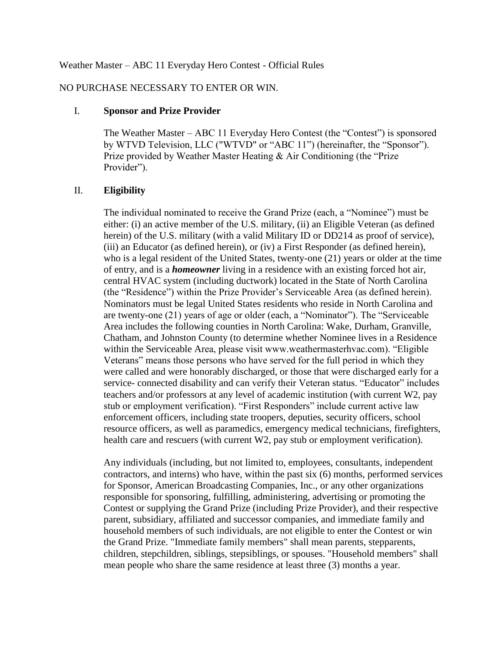#### Weather Master – ABC 11 Everyday Hero Contest - Official Rules

# NO PURCHASE NECESSARY TO ENTER OR WIN.

#### I. **Sponsor and Prize Provider**

The Weather Master – ABC 11 Everyday Hero Contest (the "Contest") is sponsored by WTVD Television, LLC ("WTVD" or "ABC 11") (hereinafter, the "Sponsor"). Prize provided by Weather Master Heating & Air Conditioning (the "Prize Provider").

## II. **Eligibility**

The individual nominated to receive the Grand Prize (each, a "Nominee") must be either: (i) an active member of the U.S. military, (ii) an Eligible Veteran (as defined herein) of the U.S. military (with a valid Military ID or DD214 as proof of service), (iii) an Educator (as defined herein), or (iv) a First Responder (as defined herein), who is a legal resident of the United States, twenty-one (21) years or older at the time of entry, and is a *homeowner* living in a residence with an existing forced hot air, central HVAC system (including ductwork) located in the State of North Carolina (the "Residence") within the Prize Provider's Serviceable Area (as defined herein). Nominators must be legal United States residents who reside in North Carolina and are twenty-one (21) years of age or older (each, a "Nominator"). The "Serviceable Area includes the following counties in North Carolina: Wake, Durham, Granville, Chatham, and Johnston County (to determine whether Nominee lives in a Residence within the Serviceable Area, please visit www.weathermasterhvac.com). "Eligible Veterans" means those persons who have served for the full period in which they were called and were honorably discharged, or those that were discharged early for a service- connected disability and can verify their Veteran status. "Educator" includes teachers and/or professors at any level of academic institution (with current W2, pay stub or employment verification). "First Responders" include current active law enforcement officers, including state troopers, deputies, security officers, school resource officers, as well as paramedics, emergency medical technicians, firefighters, health care and rescuers (with current W2, pay stub or employment verification).

Any individuals (including, but not limited to, employees, consultants, independent contractors, and interns) who have, within the past six (6) months, performed services for Sponsor, American Broadcasting Companies, Inc., or any other organizations responsible for sponsoring, fulfilling, administering, advertising or promoting the Contest or supplying the Grand Prize (including Prize Provider), and their respective parent, subsidiary, affiliated and successor companies, and immediate family and household members of such individuals, are not eligible to enter the Contest or win the Grand Prize. "Immediate family members" shall mean parents, stepparents, children, stepchildren, siblings, stepsiblings, or spouses. "Household members" shall mean people who share the same residence at least three (3) months a year.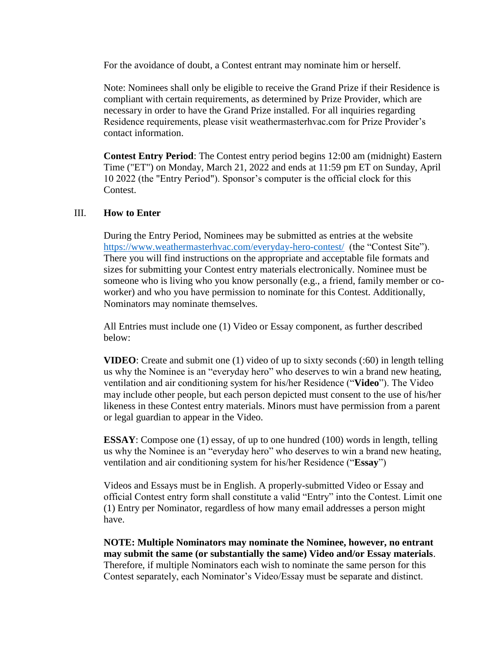For the avoidance of doubt, a Contest entrant may nominate him or herself.

Note: Nominees shall only be eligible to receive the Grand Prize if their Residence is compliant with certain requirements, as determined by Prize Provider, which are necessary in order to have the Grand Prize installed. For all inquiries regarding Residence requirements, please visit weathermasterhvac.com for Prize Provider's contact information.

**Contest Entry Period**: The Contest entry period begins 12:00 am (midnight) Eastern Time ("ET") on Monday, March 21, 2022 and ends at 11:59 pm ET on Sunday, April 10 2022 (the "Entry Period"). Sponsor's computer is the official clock for this Contest.

## III. **How to Enter**

During the Entry Period, Nominees may be submitted as entries at the website <https://www.weathermasterhvac.com/everyday-hero-contest/>(the "Contest Site"). There you will find instructions on the appropriate and acceptable file formats and sizes for submitting your Contest entry materials electronically. Nominee must be someone who is living who you know personally (e.g., a friend, family member or coworker) and who you have permission to nominate for this Contest. Additionally, Nominators may nominate themselves.

All Entries must include one (1) Video or Essay component, as further described below:

**VIDEO**: Create and submit one (1) video of up to sixty seconds (:60) in length telling us why the Nominee is an "everyday hero" who deserves to win a brand new heating, ventilation and air conditioning system for his/her Residence ("**Video**"). The Video may include other people, but each person depicted must consent to the use of his/her likeness in these Contest entry materials. Minors must have permission from a parent or legal guardian to appear in the Video.

**ESSAY**: Compose one (1) essay, of up to one hundred (100) words in length, telling us why the Nominee is an "everyday hero" who deserves to win a brand new heating, ventilation and air conditioning system for his/her Residence ("**Essay**")

Videos and Essays must be in English. A properly-submitted Video or Essay and official Contest entry form shall constitute a valid "Entry" into the Contest. Limit one (1) Entry per Nominator, regardless of how many email addresses a person might have.

**NOTE: Multiple Nominators may nominate the Nominee, however, no entrant may submit the same (or substantially the same) Video and/or Essay materials**. Therefore, if multiple Nominators each wish to nominate the same person for this Contest separately, each Nominator's Video/Essay must be separate and distinct.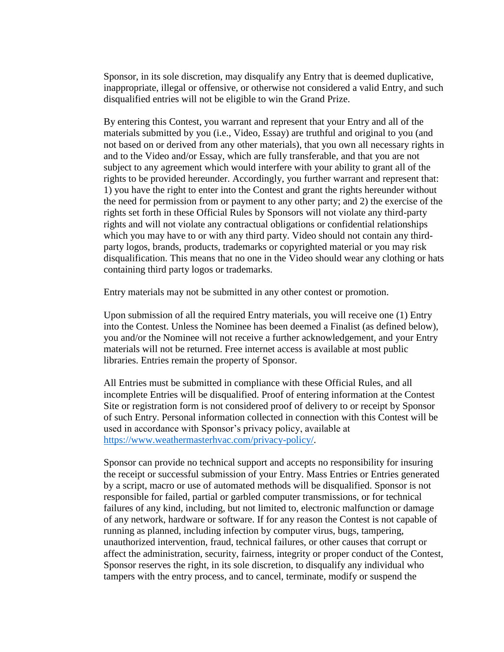Sponsor, in its sole discretion, may disqualify any Entry that is deemed duplicative, inappropriate, illegal or offensive, or otherwise not considered a valid Entry, and such disqualified entries will not be eligible to win the Grand Prize.

By entering this Contest, you warrant and represent that your Entry and all of the materials submitted by you (i.e., Video, Essay) are truthful and original to you (and not based on or derived from any other materials), that you own all necessary rights in and to the Video and/or Essay, which are fully transferable, and that you are not subject to any agreement which would interfere with your ability to grant all of the rights to be provided hereunder. Accordingly, you further warrant and represent that: 1) you have the right to enter into the Contest and grant the rights hereunder without the need for permission from or payment to any other party; and 2) the exercise of the rights set forth in these Official Rules by Sponsors will not violate any third-party rights and will not violate any contractual obligations or confidential relationships which you may have to or with any third party. Video should not contain any thirdparty logos, brands, products, trademarks or copyrighted material or you may risk disqualification. This means that no one in the Video should wear any clothing or hats containing third party logos or trademarks.

Entry materials may not be submitted in any other contest or promotion.

Upon submission of all the required Entry materials, you will receive one (1) Entry into the Contest. Unless the Nominee has been deemed a Finalist (as defined below), you and/or the Nominee will not receive a further acknowledgement, and your Entry materials will not be returned. Free internet access is available at most public libraries. Entries remain the property of Sponsor.

All Entries must be submitted in compliance with these Official Rules, and all incomplete Entries will be disqualified. Proof of entering information at the Contest Site or registration form is not considered proof of delivery to or receipt by Sponsor of such Entry. Personal information collected in connection with this Contest will be used in accordance with Sponsor's privacy policy, available at [https://www.weathermasterhvac.com/privacy-policy/.](https://www.weathermasterhvac.com/privacy-policy/)

Sponsor can provide no technical support and accepts no responsibility for insuring the receipt or successful submission of your Entry. Mass Entries or Entries generated by a script, macro or use of automated methods will be disqualified. Sponsor is not responsible for failed, partial or garbled computer transmissions, or for technical failures of any kind, including, but not limited to, electronic malfunction or damage of any network, hardware or software. If for any reason the Contest is not capable of running as planned, including infection by computer virus, bugs, tampering, unauthorized intervention, fraud, technical failures, or other causes that corrupt or affect the administration, security, fairness, integrity or proper conduct of the Contest, Sponsor reserves the right, in its sole discretion, to disqualify any individual who tampers with the entry process, and to cancel, terminate, modify or suspend the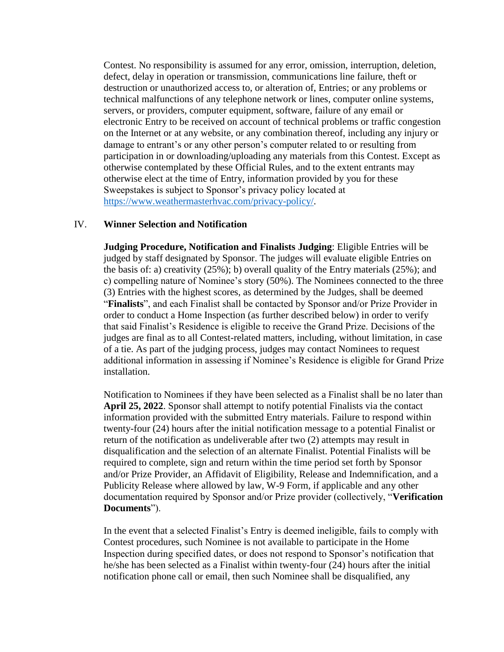Contest. No responsibility is assumed for any error, omission, interruption, deletion, defect, delay in operation or transmission, communications line failure, theft or destruction or unauthorized access to, or alteration of, Entries; or any problems or technical malfunctions of any telephone network or lines, computer online systems, servers, or providers, computer equipment, software, failure of any email or electronic Entry to be received on account of technical problems or traffic congestion on the Internet or at any website, or any combination thereof, including any injury or damage to entrant's or any other person's computer related to or resulting from participation in or downloading/uploading any materials from this Contest. Except as otherwise contemplated by these Official Rules, and to the extent entrants may otherwise elect at the time of Entry, information provided by you for these Sweepstakes is subject to Sponsor's privacy policy located at [https://www.weathermasterhvac.com/privacy-policy/.](https://www.weathermasterhvac.com/privacy-policy/)

## IV. **Winner Selection and Notification**

**Judging Procedure, Notification and Finalists Judging**: Eligible Entries will be judged by staff designated by Sponsor. The judges will evaluate eligible Entries on the basis of: a) creativity (25%); b) overall quality of the Entry materials (25%); and c) compelling nature of Nominee's story (50%). The Nominees connected to the three (3) Entries with the highest scores, as determined by the Judges, shall be deemed "**Finalists**", and each Finalist shall be contacted by Sponsor and/or Prize Provider in order to conduct a Home Inspection (as further described below) in order to verify that said Finalist's Residence is eligible to receive the Grand Prize. Decisions of the judges are final as to all Contest-related matters, including, without limitation, in case of a tie. As part of the judging process, judges may contact Nominees to request additional information in assessing if Nominee's Residence is eligible for Grand Prize installation.

Notification to Nominees if they have been selected as a Finalist shall be no later than **April 25, 2022**. Sponsor shall attempt to notify potential Finalists via the contact information provided with the submitted Entry materials. Failure to respond within twenty-four (24) hours after the initial notification message to a potential Finalist or return of the notification as undeliverable after two (2) attempts may result in disqualification and the selection of an alternate Finalist. Potential Finalists will be required to complete, sign and return within the time period set forth by Sponsor and/or Prize Provider, an Affidavit of Eligibility, Release and Indemnification, and a Publicity Release where allowed by law, W-9 Form, if applicable and any other documentation required by Sponsor and/or Prize provider (collectively, "**Verification Documents**").

In the event that a selected Finalist's Entry is deemed ineligible, fails to comply with Contest procedures, such Nominee is not available to participate in the Home Inspection during specified dates, or does not respond to Sponsor's notification that he/she has been selected as a Finalist within twenty-four (24) hours after the initial notification phone call or email, then such Nominee shall be disqualified, any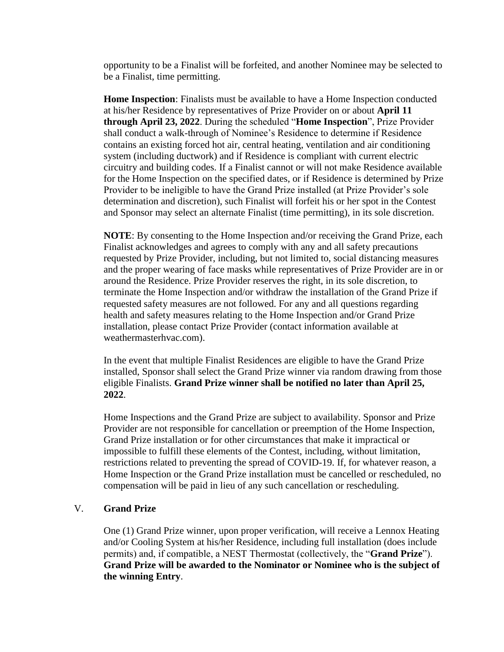opportunity to be a Finalist will be forfeited, and another Nominee may be selected to be a Finalist, time permitting.

**Home Inspection**: Finalists must be available to have a Home Inspection conducted at his/her Residence by representatives of Prize Provider on or about **April 11 through April 23, 2022**. During the scheduled "**Home Inspection**", Prize Provider shall conduct a walk-through of Nominee's Residence to determine if Residence contains an existing forced hot air, central heating, ventilation and air conditioning system (including ductwork) and if Residence is compliant with current electric circuitry and building codes. If a Finalist cannot or will not make Residence available for the Home Inspection on the specified dates, or if Residence is determined by Prize Provider to be ineligible to have the Grand Prize installed (at Prize Provider's sole determination and discretion), such Finalist will forfeit his or her spot in the Contest and Sponsor may select an alternate Finalist (time permitting), in its sole discretion.

**NOTE**: By consenting to the Home Inspection and/or receiving the Grand Prize, each Finalist acknowledges and agrees to comply with any and all safety precautions requested by Prize Provider, including, but not limited to, social distancing measures and the proper wearing of face masks while representatives of Prize Provider are in or around the Residence. Prize Provider reserves the right, in its sole discretion, to terminate the Home Inspection and/or withdraw the installation of the Grand Prize if requested safety measures are not followed. For any and all questions regarding health and safety measures relating to the Home Inspection and/or Grand Prize installation, please contact Prize Provider (contact information available at weathermasterhvac.com).

In the event that multiple Finalist Residences are eligible to have the Grand Prize installed, Sponsor shall select the Grand Prize winner via random drawing from those eligible Finalists. **Grand Prize winner shall be notified no later than April 25, 2022**.

Home Inspections and the Grand Prize are subject to availability. Sponsor and Prize Provider are not responsible for cancellation or preemption of the Home Inspection, Grand Prize installation or for other circumstances that make it impractical or impossible to fulfill these elements of the Contest, including, without limitation, restrictions related to preventing the spread of COVID-19. If, for whatever reason, a Home Inspection or the Grand Prize installation must be cancelled or rescheduled, no compensation will be paid in lieu of any such cancellation or rescheduling.

#### V. **Grand Prize**

One (1) Grand Prize winner, upon proper verification, will receive a Lennox Heating and/or Cooling System at his/her Residence, including full installation (does include permits) and, if compatible, a NEST Thermostat (collectively, the "**Grand Prize**"). **Grand Prize will be awarded to the Nominator or Nominee who is the subject of the winning Entry**.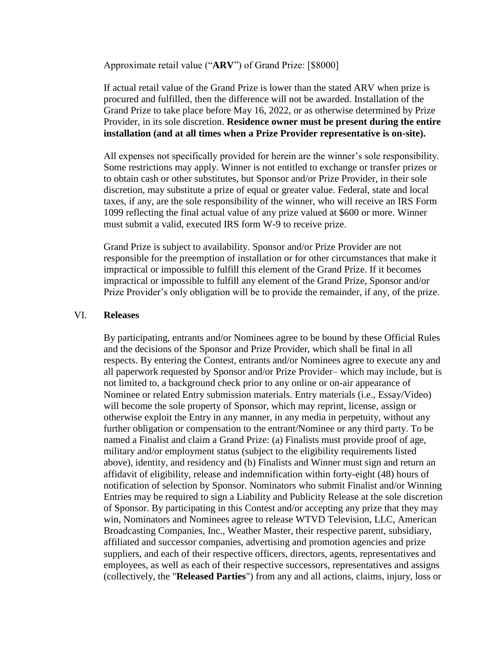Approximate retail value ("**ARV**") of Grand Prize: [\$8000]

If actual retail value of the Grand Prize is lower than the stated ARV when prize is procured and fulfilled, then the difference will not be awarded. Installation of the Grand Prize to take place before May 16, 2022, or as otherwise determined by Prize Provider, in its sole discretion. **Residence owner must be present during the entire installation (and at all times when a Prize Provider representative is on-site).**

All expenses not specifically provided for herein are the winner's sole responsibility. Some restrictions may apply. Winner is not entitled to exchange or transfer prizes or to obtain cash or other substitutes, but Sponsor and/or Prize Provider, in their sole discretion, may substitute a prize of equal or greater value. Federal, state and local taxes, if any, are the sole responsibility of the winner, who will receive an IRS Form 1099 reflecting the final actual value of any prize valued at \$600 or more. Winner must submit a valid, executed IRS form W-9 to receive prize.

Grand Prize is subject to availability. Sponsor and/or Prize Provider are not responsible for the preemption of installation or for other circumstances that make it impractical or impossible to fulfill this element of the Grand Prize. If it becomes impractical or impossible to fulfill any element of the Grand Prize, Sponsor and/or Prize Provider's only obligation will be to provide the remainder, if any, of the prize.

#### VI. **Releases**

By participating, entrants and/or Nominees agree to be bound by these Official Rules and the decisions of the Sponsor and Prize Provider, which shall be final in all respects. By entering the Contest, entrants and/or Nominees agree to execute any and all paperwork requested by Sponsor and/or Prize Provider– which may include, but is not limited to, a background check prior to any online or on-air appearance of Nominee or related Entry submission materials. Entry materials (i.e., Essay/Video) will become the sole property of Sponsor, which may reprint, license, assign or otherwise exploit the Entry in any manner, in any media in perpetuity, without any further obligation or compensation to the entrant/Nominee or any third party. To be named a Finalist and claim a Grand Prize: (a) Finalists must provide proof of age, military and/or employment status (subject to the eligibility requirements listed above), identity, and residency and (b) Finalists and Winner must sign and return an affidavit of eligibility, release and indemnification within forty-eight (48) hours of notification of selection by Sponsor. Nominators who submit Finalist and/or Winning Entries may be required to sign a Liability and Publicity Release at the sole discretion of Sponsor. By participating in this Contest and/or accepting any prize that they may win, Nominators and Nominees agree to release WTVD Television, LLC, American Broadcasting Companies, Inc., Weather Master, their respective parent, subsidiary, affiliated and successor companies, advertising and promotion agencies and prize suppliers, and each of their respective officers, directors, agents, representatives and employees, as well as each of their respective successors, representatives and assigns (collectively, the "**Released Parties**") from any and all actions, claims, injury, loss or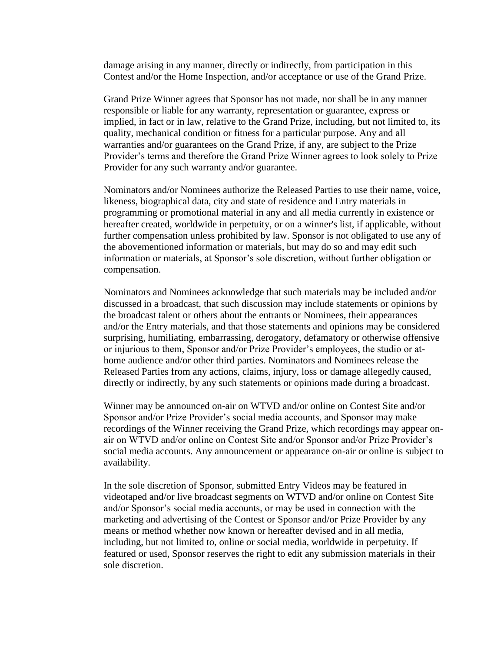damage arising in any manner, directly or indirectly, from participation in this Contest and/or the Home Inspection, and/or acceptance or use of the Grand Prize.

Grand Prize Winner agrees that Sponsor has not made, nor shall be in any manner responsible or liable for any warranty, representation or guarantee, express or implied, in fact or in law, relative to the Grand Prize, including, but not limited to, its quality, mechanical condition or fitness for a particular purpose. Any and all warranties and/or guarantees on the Grand Prize, if any, are subject to the Prize Provider's terms and therefore the Grand Prize Winner agrees to look solely to Prize Provider for any such warranty and/or guarantee.

Nominators and/or Nominees authorize the Released Parties to use their name, voice, likeness, biographical data, city and state of residence and Entry materials in programming or promotional material in any and all media currently in existence or hereafter created, worldwide in perpetuity, or on a winner's list, if applicable, without further compensation unless prohibited by law. Sponsor is not obligated to use any of the abovementioned information or materials, but may do so and may edit such information or materials, at Sponsor's sole discretion, without further obligation or compensation.

Nominators and Nominees acknowledge that such materials may be included and/or discussed in a broadcast, that such discussion may include statements or opinions by the broadcast talent or others about the entrants or Nominees, their appearances and/or the Entry materials, and that those statements and opinions may be considered surprising, humiliating, embarrassing, derogatory, defamatory or otherwise offensive or injurious to them, Sponsor and/or Prize Provider's employees, the studio or athome audience and/or other third parties. Nominators and Nominees release the Released Parties from any actions, claims, injury, loss or damage allegedly caused, directly or indirectly, by any such statements or opinions made during a broadcast.

Winner may be announced on-air on WTVD and/or online on Contest Site and/or Sponsor and/or Prize Provider's social media accounts, and Sponsor may make recordings of the Winner receiving the Grand Prize, which recordings may appear onair on WTVD and/or online on Contest Site and/or Sponsor and/or Prize Provider's social media accounts. Any announcement or appearance on-air or online is subject to availability.

In the sole discretion of Sponsor, submitted Entry Videos may be featured in videotaped and/or live broadcast segments on WTVD and/or online on Contest Site and/or Sponsor's social media accounts, or may be used in connection with the marketing and advertising of the Contest or Sponsor and/or Prize Provider by any means or method whether now known or hereafter devised and in all media, including, but not limited to, online or social media, worldwide in perpetuity. If featured or used, Sponsor reserves the right to edit any submission materials in their sole discretion.